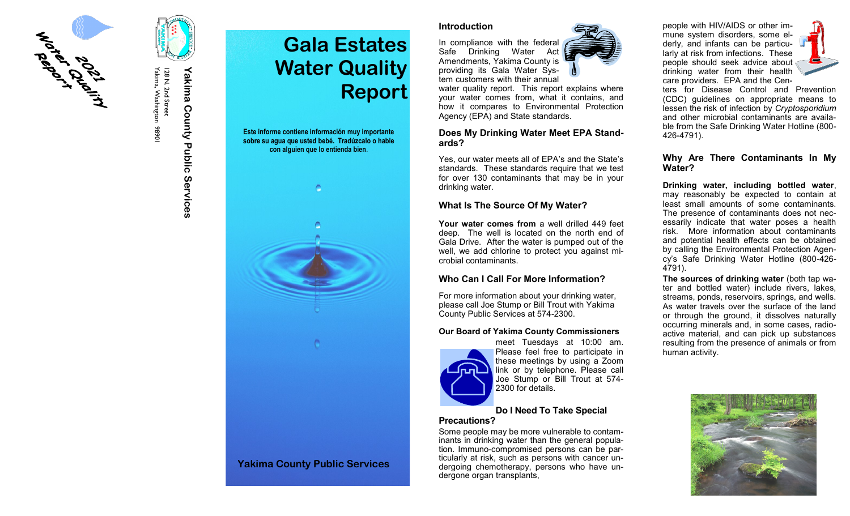

Yakima, Washington 98901 Yakima, Washington 98901 128 N. 2nd Street 128 N. 2nd Street

# **Yakima County Public Services** Yakima County Public Services



**Gala Estates** 

## **Introduction**

In compliance with the federal Safe Drinking Water Act Amendments, Yakima County is providing its Gala Water System customers with their annual

water quality report. This report explains where your water comes from, what it contains, and how it compares to Environmental Protection Agency (EPA) and State standards.

# **Does My Drinking Water Meet EPA Standards?**

Yes, our water meets all of EPA's and the State's standards. These standards require that we test for over 130 contaminants that may be in your drinking water.

# **What Is The Source Of My Water?**

**Your water comes from** a well drilled 449 feet deep. The well is located on the north end of Gala Drive. After the water is pumped out of the well, we add chlorine to protect you against microbial contaminants.

# **Who Can I Call For More Information?**

For more information about your drinking water, please call Joe Stump or Bill Trout with Yakima County Public Services at 574-2300.

# **Our Board of Yakima County Commissioners**



meet Tuesdays at 10:00 am. Please feel free to participate in these meetings by using a Zoom link or by telephone. Please call Joe Stump or Bill Trout at 574- 2300 for details.

## **Do I Need To Take Special Precautions?**

Some people may be more vulnerable to contaminants in drinking water than the general population. Immuno-compromised persons can be particularly at risk, such as persons with cancer undergoing chemotherapy, persons who have undergone organ transplants,

people with HIV/AIDS or other immune system disorders, some elderly, and infants can be particularly at risk from infections. These people should seek advice about drinking water from their health care providers. EPA and the Cen-



ters for Disease Control and Prevention (CDC) guidelines on appropriate means to lessen the risk of infection by *Cryptosporidium* and other microbial contaminants are available from the Safe Drinking Water Hotline (800- 426-4791).

# **Why Are There Contaminants In My Water?**

**Drinking water, including bottled water**, may reasonably be expected to contain at least small amounts of some contaminants. The presence of contaminants does not necessarily indicate that water poses a health risk. More information about contaminants and potential health effects can be obtained by calling the Environmental Protection Agency's Safe Drinking Water Hotline (800-426- 4791).

**The sources of drinking water** (both tap water and bottled water) include rivers, lakes, streams, ponds, reservoirs, springs, and wells. As water travels over the surface of the land or through the ground, it dissolves naturally occurring minerals and, in some cases, radioactive material, and can pick up substances resulting from the presence of animals or from human activity.